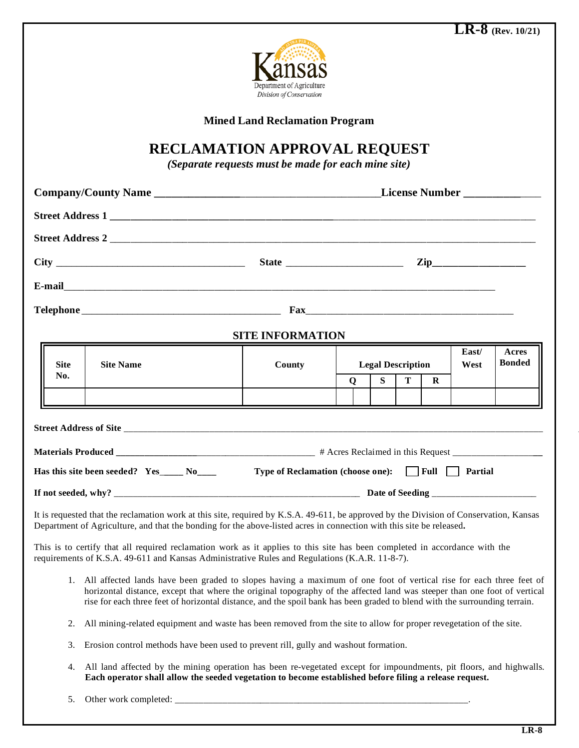

**Mined Land Reclamation Program**

## **RECLAMATION APPROVAL REQUEST**

*(Separate requests must be made for each mine site)*

| Street Address 2                                                                                                                                                                                                                                                                                                                                                                 |                                                  |   |                          |   |          |  |                        |
|----------------------------------------------------------------------------------------------------------------------------------------------------------------------------------------------------------------------------------------------------------------------------------------------------------------------------------------------------------------------------------|--------------------------------------------------|---|--------------------------|---|----------|--|------------------------|
|                                                                                                                                                                                                                                                                                                                                                                                  |                                                  |   |                          |   |          |  |                        |
|                                                                                                                                                                                                                                                                                                                                                                                  |                                                  |   |                          |   |          |  |                        |
|                                                                                                                                                                                                                                                                                                                                                                                  |                                                  |   |                          |   |          |  |                        |
|                                                                                                                                                                                                                                                                                                                                                                                  | <b>SITE INFORMATION</b>                          |   |                          |   |          |  |                        |
| <b>Site Name</b><br><b>Site</b>                                                                                                                                                                                                                                                                                                                                                  | County                                           |   | <b>Legal Description</b> |   |          |  | Acres<br><b>Bonded</b> |
| No.                                                                                                                                                                                                                                                                                                                                                                              |                                                  | Q | S                        | T | $\bf{R}$ |  |                        |
|                                                                                                                                                                                                                                                                                                                                                                                  |                                                  |   |                          |   |          |  |                        |
|                                                                                                                                                                                                                                                                                                                                                                                  |                                                  |   |                          |   |          |  |                        |
|                                                                                                                                                                                                                                                                                                                                                                                  |                                                  |   |                          |   |          |  |                        |
| Has this site been seeded? Yes_____ No____                                                                                                                                                                                                                                                                                                                                       | Type of Reclamation (choose one): Full T Partial |   |                          |   |          |  |                        |
|                                                                                                                                                                                                                                                                                                                                                                                  |                                                  |   |                          |   |          |  |                        |
| It is requested that the reclamation work at this site, required by K.S.A. 49-611, be approved by the Division of Conservation, Kansas<br>Department of Agriculture, and that the bonding for the above-listed acres in connection with this site be released.                                                                                                                   |                                                  |   |                          |   |          |  |                        |
| This is to certify that all required reclamation work as it applies to this site has been completed in accordance with the<br>requirements of K.S.A. 49-611 and Kansas Administrative Rules and Regulations (K.A.R. 11-8-7).                                                                                                                                                     |                                                  |   |                          |   |          |  |                        |
| 1. All affected lands have been graded to slopes having a maximum of one foot of vertical rise for each three feet of<br>horizontal distance, except that where the original topography of the affected land was steeper than one foot of vertical<br>rise for each three feet of horizontal distance, and the spoil bank has been graded to blend with the surrounding terrain. |                                                  |   |                          |   |          |  |                        |
| All mining-related equipment and waste has been removed from the site to allow for proper revegetation of the site.<br>2.                                                                                                                                                                                                                                                        |                                                  |   |                          |   |          |  |                        |
| 3. Erosion control methods have been used to prevent rill, gully and washout formation.                                                                                                                                                                                                                                                                                          |                                                  |   |                          |   |          |  |                        |

- 4. All land affected by the mining operation has been re-vegetated except for impoundments, pit floors, and highwalls. **Each operator shall allow the seeded vegetation to become established before filing a release request.**
- 5. Other work completed: \_\_\_\_\_\_\_\_\_\_\_\_\_\_\_\_\_\_\_\_\_\_\_\_\_\_\_\_\_\_\_\_\_\_\_\_\_\_\_\_\_\_\_\_\_\_\_\_\_\_\_\_\_\_\_\_\_\_\_\_\_\_.